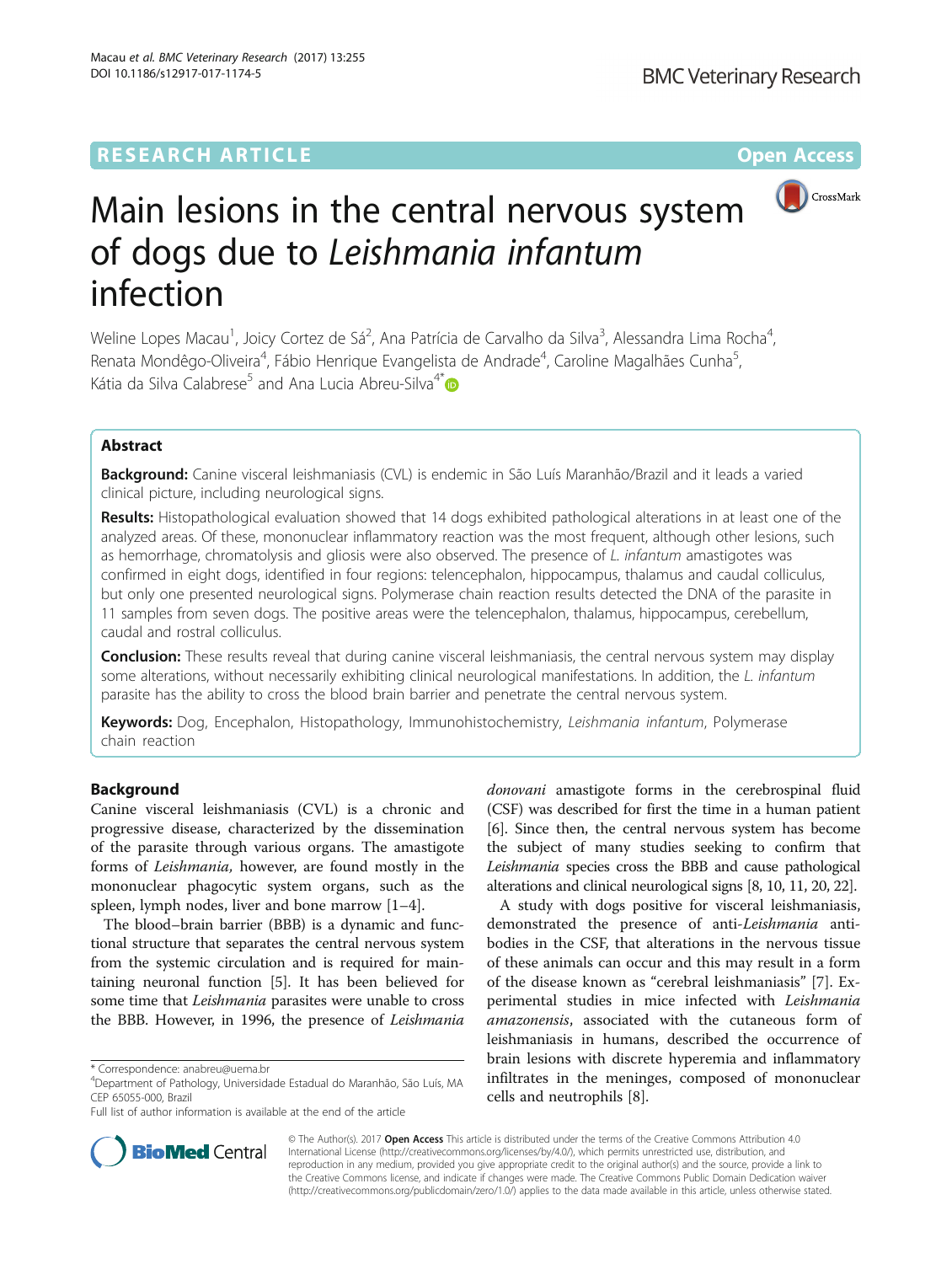## **RESEARCH ARTICLE External Structure Community Community Community Community Community Community Community Community**



# Main lesions in the central nervous system of dogs due to Leishmania infantum infection

Weline Lopes Macau<sup>1</sup>, Joicy Cortez de Sá<sup>2</sup>, Ana Patrícia de Carvalho da Silva<sup>3</sup>, Alessandra Lima Rocha<sup>4</sup> , Renata Mondêgo-Oliveira<sup>4</sup>, Fábio Henrique Evangelista de Andrade<sup>4</sup>, Caroline Magalhães Cunha<sup>5</sup> , Kátia da Silva Calabrese<sup>5</sup> and Ana Lucia Abreu-Silva<sup>4[\\*](http://orcid.org/0000-0003-2167-3725)</sup> D

## Abstract

Background: Canine visceral leishmaniasis (CVL) is endemic in São Luís Maranhão/Brazil and it leads a varied clinical picture, including neurological signs.

Results: Histopathological evaluation showed that 14 dogs exhibited pathological alterations in at least one of the analyzed areas. Of these, mononuclear inflammatory reaction was the most frequent, although other lesions, such as hemorrhage, chromatolysis and gliosis were also observed. The presence of L. infantum amastigotes was confirmed in eight dogs, identified in four regions: telencephalon, hippocampus, thalamus and caudal colliculus, but only one presented neurological signs. Polymerase chain reaction results detected the DNA of the parasite in 11 samples from seven dogs. The positive areas were the telencephalon, thalamus, hippocampus, cerebellum, caudal and rostral colliculus.

**Conclusion:** These results reveal that during canine visceral leishmaniasis, the central nervous system may display some alterations, without necessarily exhibiting clinical neurological manifestations. In addition, the L. infantum parasite has the ability to cross the blood brain barrier and penetrate the central nervous system.

Keywords: Dog, Encephalon, Histopathology, Immunohistochemistry, Leishmania infantum, Polymerase chain reaction

## Background

Canine visceral leishmaniasis (CVL) is a chronic and progressive disease, characterized by the dissemination of the parasite through various organs. The amastigote forms of Leishmania, however, are found mostly in the mononuclear phagocytic system organs, such as the spleen, lymph nodes, liver and bone marrow [[1](#page-3-0)–[4\]](#page-3-0).

The blood–brain barrier (BBB) is a dynamic and functional structure that separates the central nervous system from the systemic circulation and is required for maintaining neuronal function [\[5\]](#page-3-0). It has been believed for some time that *Leishmania* parasites were unable to cross the BBB. However, in 1996, the presence of Leishmania

donovani amastigote forms in the cerebrospinal fluid (CSF) was described for first the time in a human patient [[6\]](#page-3-0). Since then, the central nervous system has become the subject of many studies seeking to confirm that Leishmania species cross the BBB and cause pathological alterations and clinical neurological signs [\[8](#page-3-0), [10](#page-3-0), [11](#page-3-0), [20](#page-3-0), [22](#page-3-0)].

A study with dogs positive for visceral leishmaniasis, demonstrated the presence of anti-Leishmania antibodies in the CSF, that alterations in the nervous tissue of these animals can occur and this may result in a form of the disease known as "cerebral leishmaniasis" [\[7\]](#page-3-0). Experimental studies in mice infected with Leishmania amazonensis, associated with the cutaneous form of leishmaniasis in humans, described the occurrence of brain lesions with discrete hyperemia and inflammatory infiltrates in the meninges, composed of mononuclear cells and neutrophils [[8\]](#page-3-0).



© The Author(s). 2017 **Open Access** This article is distributed under the terms of the Creative Commons Attribution 4.0 International License [\(http://creativecommons.org/licenses/by/4.0/](http://creativecommons.org/licenses/by/4.0/)), which permits unrestricted use, distribution, and reproduction in any medium, provided you give appropriate credit to the original author(s) and the source, provide a link to the Creative Commons license, and indicate if changes were made. The Creative Commons Public Domain Dedication waiver [\(http://creativecommons.org/publicdomain/zero/1.0/](http://creativecommons.org/publicdomain/zero/1.0/)) applies to the data made available in this article, unless otherwise stated.

<sup>\*</sup> Correspondence: [anabreu@uema.br](mailto:anabreu@uema.br) <sup>4</sup>

Department of Pathology, Universidade Estadual do Maranhão, São Luís, MA CEP 65055-000, Brazil

Full list of author information is available at the end of the article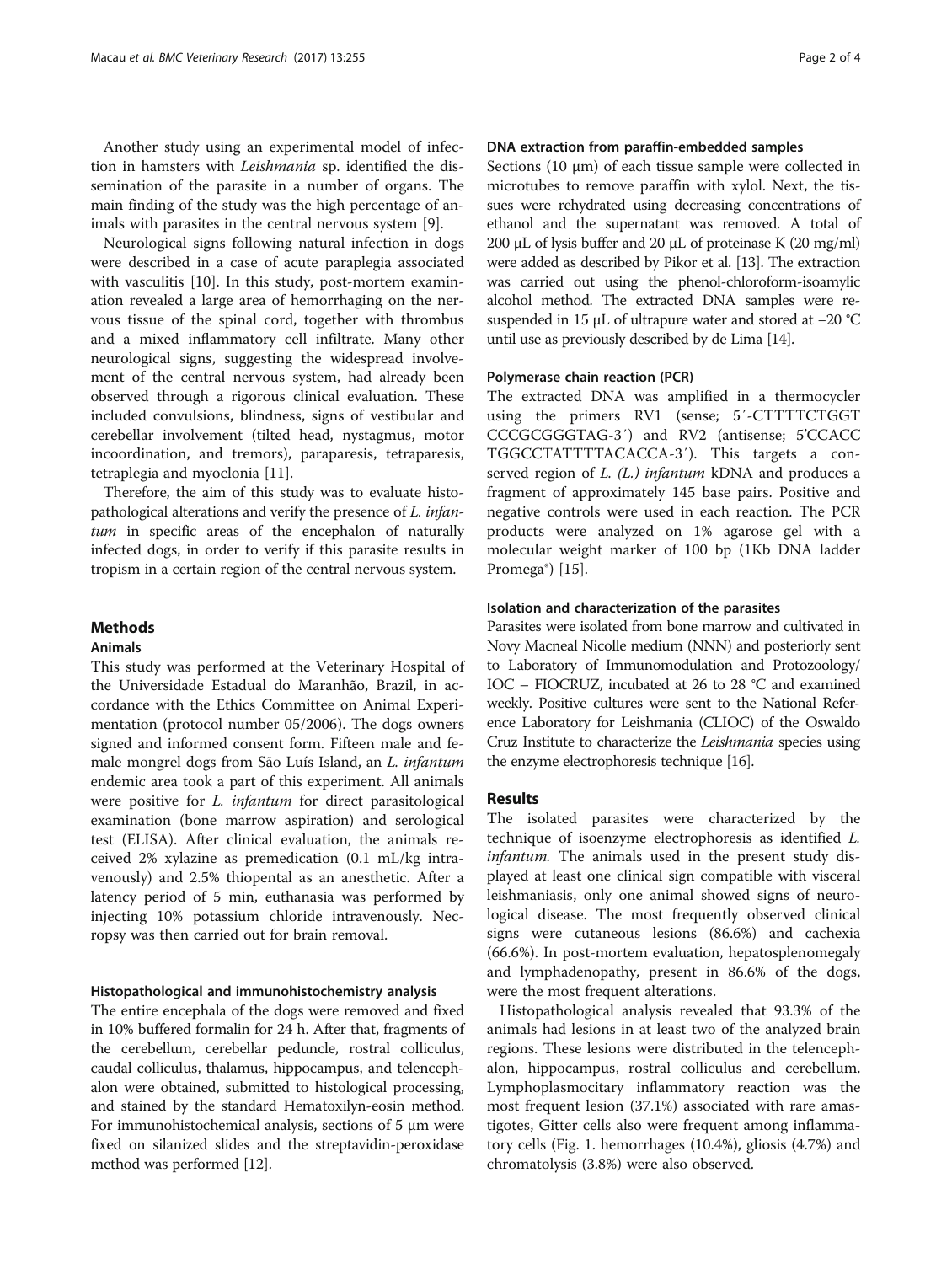Another study using an experimental model of infection in hamsters with Leishmania sp. identified the dissemination of the parasite in a number of organs. The main finding of the study was the high percentage of animals with parasites in the central nervous system [\[9](#page-3-0)].

Neurological signs following natural infection in dogs were described in a case of acute paraplegia associated with vasculitis [\[10](#page-3-0)]. In this study, post-mortem examination revealed a large area of hemorrhaging on the nervous tissue of the spinal cord, together with thrombus and a mixed inflammatory cell infiltrate. Many other neurological signs, suggesting the widespread involvement of the central nervous system, had already been observed through a rigorous clinical evaluation. These included convulsions, blindness, signs of vestibular and cerebellar involvement (tilted head, nystagmus, motor incoordination, and tremors), paraparesis, tetraparesis, tetraplegia and myoclonia [\[11](#page-3-0)].

Therefore, the aim of this study was to evaluate histopathological alterations and verify the presence of L. infantum in specific areas of the encephalon of naturally infected dogs, in order to verify if this parasite results in tropism in a certain region of the central nervous system.

## **Methods**

#### Animals

This study was performed at the Veterinary Hospital of the Universidade Estadual do Maranhão, Brazil, in accordance with the Ethics Committee on Animal Experimentation (protocol number 05/2006). The dogs owners signed and informed consent form. Fifteen male and female mongrel dogs from São Luís Island, an L. infantum endemic area took a part of this experiment. All animals were positive for L. infantum for direct parasitological examination (bone marrow aspiration) and serological test (ELISA). After clinical evaluation, the animals received 2% xylazine as premedication (0.1 mL/kg intravenously) and 2.5% thiopental as an anesthetic. After a latency period of 5 min, euthanasia was performed by injecting 10% potassium chloride intravenously. Necropsy was then carried out for brain removal.

#### Histopathological and immunohistochemistry analysis

The entire encephala of the dogs were removed and fixed in 10% buffered formalin for 24 h. After that, fragments of the cerebellum, cerebellar peduncle, rostral colliculus, caudal colliculus, thalamus, hippocampus, and telencephalon were obtained, submitted to histological processing, and stained by the standard Hematoxilyn-eosin method. For immunohistochemical analysis, sections of 5 μm were fixed on silanized slides and the streptavidin-peroxidase method was performed [\[12\]](#page-3-0).

## DNA extraction from paraffin-embedded samples

Sections  $(10 \mu m)$  of each tissue sample were collected in microtubes to remove paraffin with xylol. Next, the tissues were rehydrated using decreasing concentrations of ethanol and the supernatant was removed. A total of 200 μL of lysis buffer and 20 μL of proteinase K (20 mg/ml) were added as described by Pikor et al. [\[13\]](#page-3-0). The extraction was carried out using the phenol-chloroform-isoamylic alcohol method. The extracted DNA samples were resuspended in 15 μL of ultrapure water and stored at −20 °C until use as previously described by de Lima [[14](#page-3-0)].

#### Polymerase chain reaction (PCR)

The extracted DNA was amplified in a thermocycler using the primers RV1 (sense; 5′-CTTTTCTGGT CCCGCGGGTAG-3′) and RV2 (antisense; 5'CCACC TGGCCTATTTTACACCA-3′). This targets a conserved region of  $L$ . ( $L$ .) infantum kDNA and produces a fragment of approximately 145 base pairs. Positive and negative controls were used in each reaction. The PCR products were analyzed on 1% agarose gel with a molecular weight marker of 100 bp (1Kb DNA ladder Promega®) [[15\]](#page-3-0).

#### Isolation and characterization of the parasites

Parasites were isolated from bone marrow and cultivated in Novy Macneal Nicolle medium (NNN) and posteriorly sent to Laboratory of Immunomodulation and Protozoology/ IOC – FIOCRUZ, incubated at 26 to 28 °C and examined weekly. Positive cultures were sent to the National Reference Laboratory for Leishmania (CLIOC) of the Oswaldo Cruz Institute to characterize the Leishmania species using the enzyme electrophoresis technique [[16](#page-3-0)].

#### Results

The isolated parasites were characterized by the technique of isoenzyme electrophoresis as identified L. infantum. The animals used in the present study displayed at least one clinical sign compatible with visceral leishmaniasis, only one animal showed signs of neurological disease. The most frequently observed clinical signs were cutaneous lesions (86.6%) and cachexia (66.6%). In post-mortem evaluation, hepatosplenomegaly and lymphadenopathy, present in 86.6% of the dogs, were the most frequent alterations.

Histopathological analysis revealed that 93.3% of the animals had lesions in at least two of the analyzed brain regions. These lesions were distributed in the telencephalon, hippocampus, rostral colliculus and cerebellum. Lymphoplasmocitary inflammatory reaction was the most frequent lesion (37.1%) associated with rare amastigotes, Gitter cells also were frequent among inflammatory cells (Fig. [1.](#page-2-0) hemorrhages (10.4%), gliosis (4.7%) and chromatolysis (3.8%) were also observed.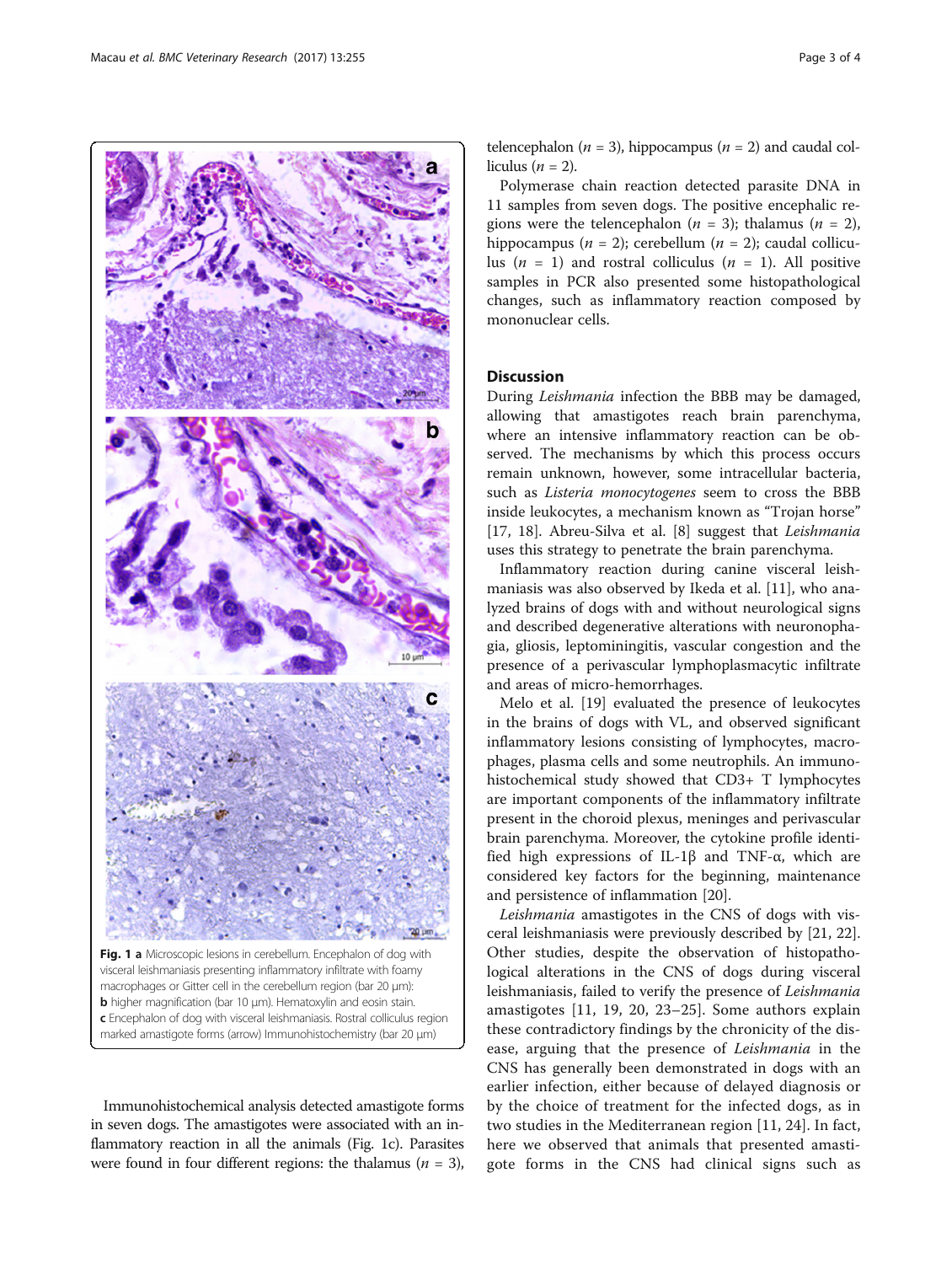<span id="page-2-0"></span>

Fig. 1 a Microscopic lesions in cerebellum. Encephalon of dog with visceral leishmaniasis presenting inflammatory infiltrate with foamy macrophages or Gitter cell in the cerebellum region (bar 20 μm): b higher magnification (bar 10 μm). Hematoxylin and eosin stain. c Encephalon of dog with visceral leishmaniasis. Rostral colliculus region marked amastigote forms (arrow) Immunohistochemistry (bar 20 μm)

Immunohistochemical analysis detected amastigote forms in seven dogs. The amastigotes were associated with an inflammatory reaction in all the animals (Fig. 1c). Parasites were found in four different regions: the thalamus ( $n = 3$ ),

telencephalon ( $n = 3$ ), hippocampus ( $n = 2$ ) and caudal colliculus ( $n = 2$ ).

Polymerase chain reaction detected parasite DNA in 11 samples from seven dogs. The positive encephalic regions were the telencephalon ( $n = 3$ ); thalamus ( $n = 2$ ), hippocampus ( $n = 2$ ); cerebellum ( $n = 2$ ); caudal colliculus ( $n = 1$ ) and rostral colliculus ( $n = 1$ ). All positive samples in PCR also presented some histopathological changes, such as inflammatory reaction composed by mononuclear cells.

## **Discussion**

During Leishmania infection the BBB may be damaged, allowing that amastigotes reach brain parenchyma, where an intensive inflammatory reaction can be observed. The mechanisms by which this process occurs remain unknown, however, some intracellular bacteria, such as *Listeria monocytogenes* seem to cross the BBB inside leukocytes, a mechanism known as "Trojan horse" [[17, 18](#page-3-0)]. Abreu-Silva et al. [\[8](#page-3-0)] suggest that Leishmania uses this strategy to penetrate the brain parenchyma.

Inflammatory reaction during canine visceral leishmaniasis was also observed by Ikeda et al. [\[11](#page-3-0)], who analyzed brains of dogs with and without neurological signs and described degenerative alterations with neuronophagia, gliosis, leptominingitis, vascular congestion and the presence of a perivascular lymphoplasmacytic infiltrate and areas of micro-hemorrhages.

Melo et al. [[19](#page-3-0)] evaluated the presence of leukocytes in the brains of dogs with VL, and observed significant inflammatory lesions consisting of lymphocytes, macrophages, plasma cells and some neutrophils. An immunohistochemical study showed that CD3+ T lymphocytes are important components of the inflammatory infiltrate present in the choroid plexus, meninges and perivascular brain parenchyma. Moreover, the cytokine profile identified high expressions of IL-1β and TNF-α, which are considered key factors for the beginning, maintenance and persistence of inflammation [[20](#page-3-0)].

Leishmania amastigotes in the CNS of dogs with visceral leishmaniasis were previously described by [\[21](#page-3-0), [22](#page-3-0)]. Other studies, despite the observation of histopathological alterations in the CNS of dogs during visceral leishmaniasis, failed to verify the presence of Leishmania amastigotes [[11, 19](#page-3-0), [20, 23](#page-3-0)–[25](#page-3-0)]. Some authors explain these contradictory findings by the chronicity of the disease, arguing that the presence of Leishmania in the CNS has generally been demonstrated in dogs with an earlier infection, either because of delayed diagnosis or by the choice of treatment for the infected dogs, as in two studies in the Mediterranean region [[11, 24\]](#page-3-0). In fact, here we observed that animals that presented amastigote forms in the CNS had clinical signs such as